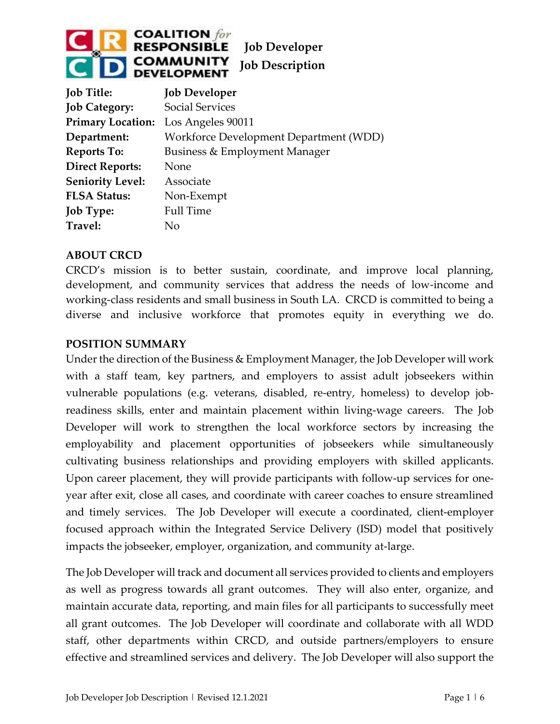

| <b>Job Title:</b>                   | <b>Job Developer</b>                   |
|-------------------------------------|----------------------------------------|
| <b>Job Category:</b>                | <b>Social Services</b>                 |
| Primary Location: Los Angeles 90011 |                                        |
| Department:                         | Workforce Development Department (WDD) |
| <b>Reports To:</b>                  | Business & Employment Manager          |
| <b>Direct Reports:</b>              | None                                   |
| <b>Seniority Level:</b>             | Associate                              |
| <b>FLSA Status:</b>                 | Non-Exempt                             |
| <b>Job Type:</b>                    | <b>Full Time</b>                       |
| Travel:                             | Nο                                     |

#### **ABOUT CRCD**

CRCD's mission is to better sustain, coordinate, and improve local planning, development, and community services that address the needs of low-income and working-class residents and small business in South LA. CRCD is committed to being a diverse and inclusive workforce that promotes equity in everything we do.

#### **POSITION SUMMARY**

Under the direction of the Business & Employment Manager, the Job Developer will work with a staff team, key partners, and employers to assist adult jobseekers within vulnerable populations (e.g. veterans, disabled, re-entry, homeless) to develop jobreadiness skills, enter and maintain placement within living-wage careers. The Job Developer will work to strengthen the local workforce sectors by increasing the employability and placement opportunities of jobseekers while simultaneously cultivating business relationships and providing employers with skilled applicants. Upon career placement, they will provide participants with follow-up services for oneyear after exit, close all cases, and coordinate with career coaches to ensure streamlined and timely services. The Job Developer will execute a coordinated, client-employer focused approach within the Integrated Service Delivery (ISD) model that positively impacts the jobseeker, employer, organization, and community at-large.

The Job Developer will track and document all services provided to clients and employers as well as progress towards all grant outcomes. They will also enter, organize, and maintain accurate data, reporting, and main files for all participants to successfully meet all grant outcomes. The Job Developer will coordinate and collaborate with all WDD staff, other departments within CRCD, and outside partners/employers to ensure effective and streamlined services and delivery. The Job Developer will also support the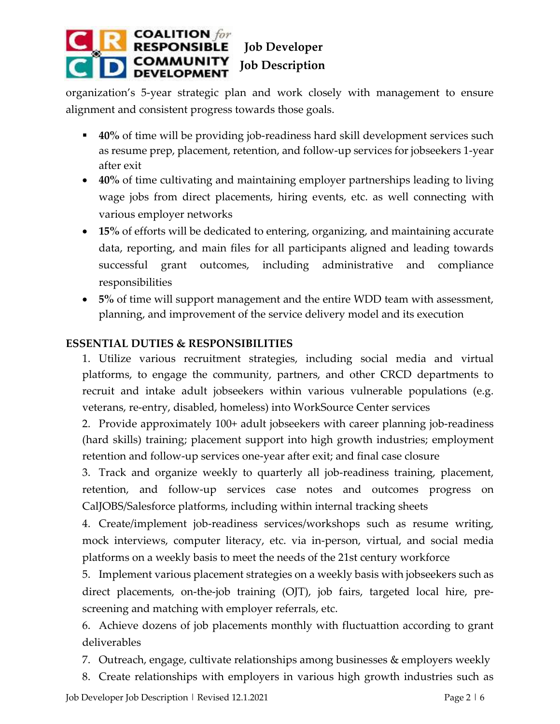

organization's 5-year strategic plan and work closely with management to ensure alignment and consistent progress towards those goals.

- 40% of time will be providing job-readiness hard skill development services such as resume prep, placement, retention, and follow-up services for jobseekers 1-year after exit
- **40%** of time cultivating and maintaining employer partnerships leading to living wage jobs from direct placements, hiring events, etc. as well connecting with various employer networks
- **15%** of efforts will be dedicated to entering, organizing, and maintaining accurate data, reporting, and main files for all participants aligned and leading towards successful grant outcomes, including administrative and compliance responsibilities
- **5%** of time will support management and the entire WDD team with assessment, planning, and improvement of the service delivery model and its execution

## **ESSENTIAL DUTIES & RESPONSIBILITIES**

1. Utilize various recruitment strategies, including social media and virtual platforms, to engage the community, partners, and other CRCD departments to recruit and intake adult jobseekers within various vulnerable populations (e.g. veterans, re-entry, disabled, homeless) into WorkSource Center services

2. Provide approximately 100+ adult jobseekers with career planning job-readiness (hard skills) training; placement support into high growth industries; employment retention and follow-up services one-year after exit; and final case closure

3. Track and organize weekly to quarterly all job-readiness training, placement, retention, and follow-up services case notes and outcomes progress on CalJOBS/Salesforce platforms, including within internal tracking sheets

4. Create/implement job-readiness services/workshops such as resume writing, mock interviews, computer literacy, etc. via in-person, virtual, and social media platforms on a weekly basis to meet the needs of the 21st century workforce

5. Implement various placement strategies on a weekly basis with jobseekers such as direct placements, on-the-job training (OJT), job fairs, targeted local hire, prescreening and matching with employer referrals, etc.

6. Achieve dozens of job placements monthly with fluctuattion according to grant deliverables

- 7. Outreach, engage, cultivate relationships among businesses & employers weekly
- 8. Create relationships with employers in various high growth industries such as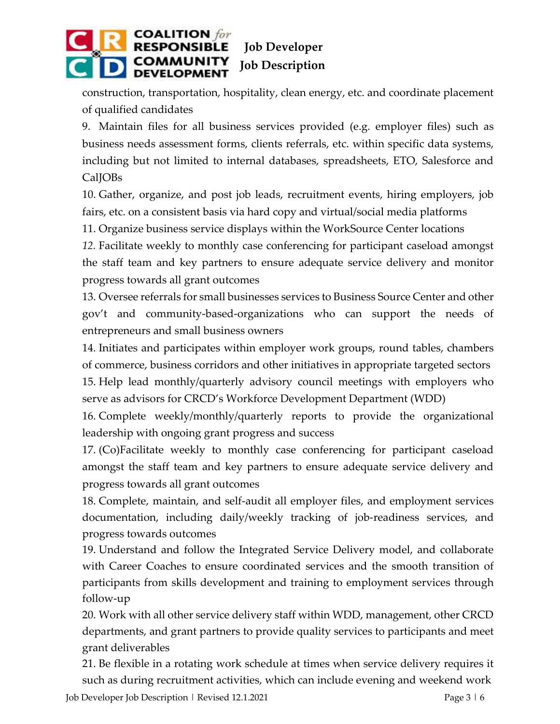

construction, transportation, hospitality, clean energy, etc. and coordinate placement of qualified candidates

9. Maintain files for all business services provided (e.g. employer files) such as business needs assessment forms, clients referrals, etc. within specific data systems, including but not limited to internal databases, spreadsheets, ETO, Salesforce and Cal**IOBs** 

10. Gather, organize, and post job leads, recruitment events, hiring employers, job fairs, etc. on a consistent basis via hard copy and virtual/social media platforms

11. Organize business service displays within the WorkSource Center locations

*12.* Facilitate weekly to monthly case conferencing for participant caseload amongst the staff team and key partners to ensure adequate service delivery and monitor progress towards all grant outcomes

13. Oversee referrals for small businesses services to Business Source Center and other gov't and community-based-organizations who can support the needs of entrepreneurs and small business owners

14. Initiates and participates within employer work groups, round tables, chambers of commerce, business corridors and other initiatives in appropriate targeted sectors 15. Help lead monthly/quarterly advisory council meetings with employers who serve as advisors for CRCD's Workforce Development Department (WDD)

16. Complete weekly/monthly/quarterly reports to provide the organizational leadership with ongoing grant progress and success

17. (Co)Facilitate weekly to monthly case conferencing for participant caseload amongst the staff team and key partners to ensure adequate service delivery and progress towards all grant outcomes

18. Complete, maintain, and self-audit all employer files, and employment services documentation, including daily/weekly tracking of job-readiness services, and progress towards outcomes

19. Understand and follow the Integrated Service Delivery model, and collaborate with Career Coaches to ensure coordinated services and the smooth transition of participants from skills development and training to employment services through follow-up

20. Work with all other service delivery staff within WDD, management, other CRCD departments, and grant partners to provide quality services to participants and meet grant deliverables

21. Be flexible in a rotating work schedule at times when service delivery requires it such as during recruitment activities, which can include evening and weekend work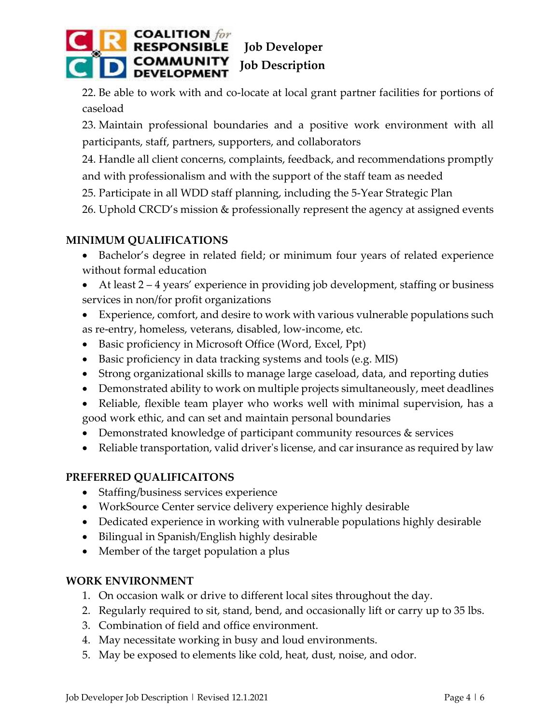

22. Be able to work with and co-locate at local grant partner facilities for portions of caseload

23. Maintain professional boundaries and a positive work environment with all participants, staff, partners, supporters, and collaborators

24. Handle all client concerns, complaints, feedback, and recommendations promptly and with professionalism and with the support of the staff team as needed

- 25. Participate in all WDD staff planning, including the 5-Year Strategic Plan
- 26. Uphold CRCD's mission & professionally represent the agency at assigned events

## **MINIMUM QUALIFICATIONS**

- Bachelor's degree in related field; or minimum four years of related experience without formal education
- At least 2 4 years' experience in providing job development, staffing or business services in non/for profit organizations
- Experience, comfort, and desire to work with various vulnerable populations such as re-entry, homeless, veterans, disabled, low-income, etc.
- Basic proficiency in Microsoft Office (Word, Excel, Ppt)
- Basic proficiency in data tracking systems and tools (e.g. MIS)
- Strong organizational skills to manage large caseload, data, and reporting duties
- Demonstrated ability to work on multiple projects simultaneously, meet deadlines
- Reliable, flexible team player who works well with minimal supervision, has a good work ethic, and can set and maintain personal boundaries
- Demonstrated knowledge of participant community resources & services
- Reliable transportation, valid driver's license, and car insurance as required by law

## **PREFERRED QUALIFICAITONS**

- Staffing/business services experience
- WorkSource Center service delivery experience highly desirable
- Dedicated experience in working with vulnerable populations highly desirable
- Bilingual in Spanish/English highly desirable
- Member of the target population a plus

## **WORK ENVIRONMENT**

- 1. On occasion walk or drive to different local sites throughout the day.
- 2. Regularly required to sit, stand, bend, and occasionally lift or carry up to 35 lbs.
- 3. Combination of field and office environment.
- 4. May necessitate working in busy and loud environments.
- 5. May be exposed to elements like cold, heat, dust, noise, and odor.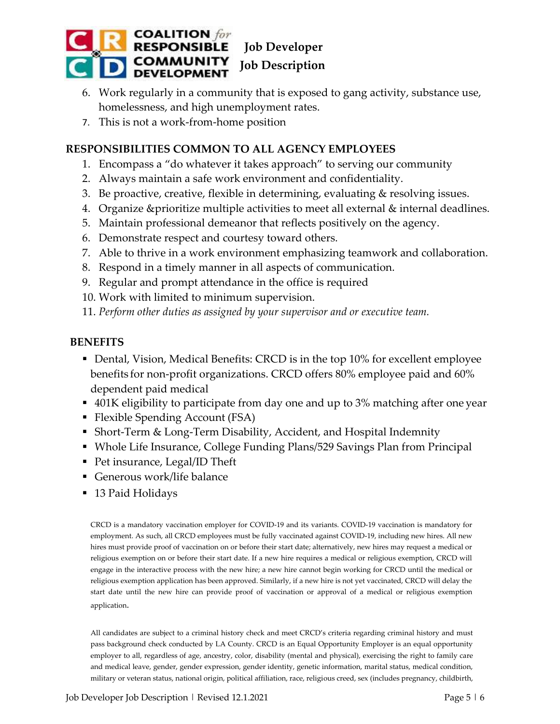

- 6. Work regularly in a community that is exposed to gang activity, substance use, homelessness, and high unemployment rates.
- 7. This is not a work-from-home position

# **RESPONSIBILITIES COMMON TO ALL AGENCY EMPLOYEES**

- 1. Encompass a "do whatever it takes approach" to serving our community
- 2. Always maintain a safe work environment and confidentiality.
- 3. Be proactive, creative, flexible in determining, evaluating & resolving issues.
- 4. Organize &prioritize multiple activities to meet all external & internal deadlines.
- 5. Maintain professional demeanor that reflects positively on the agency.
- 6. Demonstrate respect and courtesy toward others.
- 7. Able to thrive in a work environment emphasizing teamwork and collaboration.
- 8. Respond in a timely manner in all aspects of communication.
- 9. Regular and prompt attendance in the office is required
- 10. Work with limited to minimum supervision.
- 11. *Perform other duties as assigned by your supervisor and or executive team.*

#### **BENEFITS**

- Dental, Vision, Medical Benefits: CRCD is in the top 10% for excellent employee benefits for non-profit organizations. CRCD offers 80% employee paid and 60% dependent paid medical
- 401K eligibility to participate from day one and up to 3% matching after one year
- Flexible Spending Account (FSA)
- Short-Term & Long-Term Disability, Accident, and Hospital Indemnity
- Whole Life Insurance, College Funding Plans/529 Savings Plan from Principal
- Pet insurance, Legal/ID Theft
- Generous work/life balance
- 13 Paid Holidays

CRCD is a mandatory vaccination employer for COVID-19 and its variants. COVID-19 vaccination is mandatory for employment. As such, all CRCD employees must be fully vaccinated against COVID-19, including new hires. All new hires must provide proof of vaccination on or before their start date; alternatively, new hires may request a medical or religious exemption on or before their start date. If a new hire requires a medical or religious exemption, CRCD will engage in the interactive process with the new hire; a new hire cannot begin working for CRCD until the medical or religious exemption application has been approved. Similarly, if a new hire is not yet vaccinated, CRCD will delay the start date until the new hire can provide proof of vaccination or approval of a medical or religious exemption application.

All candidates are subject to a criminal history check and meet CRCD's criteria regarding criminal history and must pass background check conducted by LA County. CRCD is an Equal Opportunity Employer is an equal opportunity employer to all, regardless of age, ancestry, color, disability (mental and physical), exercising the right to family care and medical leave, gender, gender expression, gender identity, genetic information, marital status, medical condition, military or veteran status, national origin, political affiliation, race, religious creed, sex (includes pregnancy, childbirth,